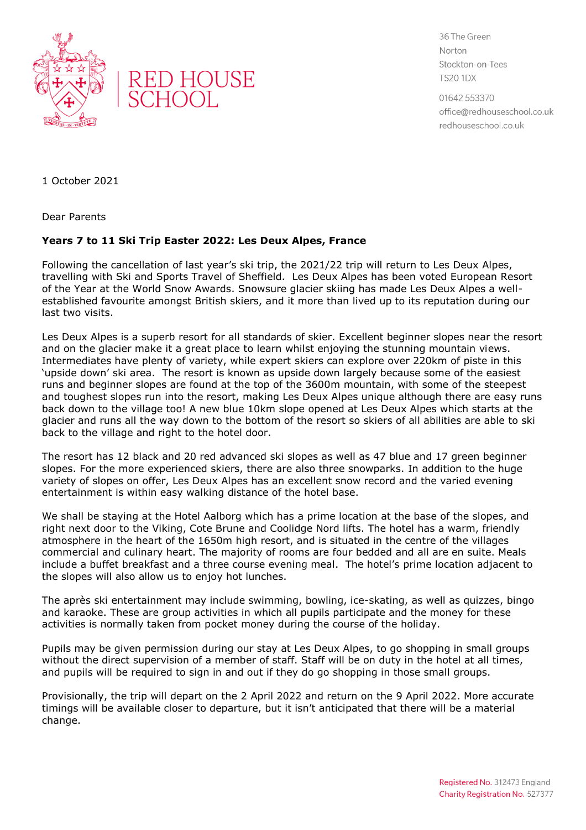



36 The Green Norton Stockton-on-Tees **TS20 1DX** 

01642 553370 office@redhouseschool.co.uk redhouseschool.co.uk

1 October 2021

Dear Parents

## **Years 7 to 11 Ski Trip Easter 2022: Les Deux Alpes, France**

Following the cancellation of last year's ski trip, the 2021/22 trip will return to Les Deux Alpes, travelling with Ski and Sports Travel of Sheffield. Les Deux Alpes has been voted European Resort of the Year at the World Snow Awards. Snowsure glacier skiing has made Les Deux Alpes a wellestablished favourite amongst British skiers, and it more than lived up to its reputation during our last two visits.

Les Deux Alpes is a superb resort for all standards of skier. Excellent beginner slopes near the resort and on the glacier make it a great place to learn whilst enjoying the stunning mountain views. Intermediates have plenty of variety, while expert skiers can explore over 220km of piste in this 'upside down' ski area. The resort is known as upside down largely because some of the easiest runs and beginner slopes are found at the top of the 3600m mountain, with some of the steepest and toughest slopes run into the resort, making Les Deux Alpes unique although there are easy runs back down to the village too! A new blue 10km slope opened at Les Deux Alpes which starts at the glacier and runs all the way down to the bottom of the resort so skiers of all abilities are able to ski back to the village and right to the hotel door.

The resort has 12 black and 20 red advanced ski slopes as well as 47 blue and 17 green beginner slopes. For the more experienced skiers, there are also three snowparks. In addition to the huge variety of slopes on offer, Les Deux Alpes has an excellent snow record and the varied evening entertainment is within easy walking distance of the hotel base.

We shall be staying at the Hotel Aalborg which has a prime location at the base of the slopes, and right next door to the Viking, Cote Brune and Coolidge Nord lifts. The hotel has a warm, friendly atmosphere in the heart of the 1650m high resort, and is situated in the centre of the villages commercial and culinary heart. The majority of rooms are four bedded and all are en suite. Meals include a buffet breakfast and a three course evening meal. The hotel's prime location adjacent to the slopes will also allow us to enjoy hot lunches.

The après ski entertainment may include swimming, bowling, ice-skating, as well as quizzes, bingo and karaoke. These are group activities in which all pupils participate and the money for these activities is normally taken from pocket money during the course of the holiday.

Pupils may be given permission during our stay at Les Deux Alpes, to go shopping in small groups without the direct supervision of a member of staff. Staff will be on duty in the hotel at all times, and pupils will be required to sign in and out if they do go shopping in those small groups.

Provisionally, the trip will depart on the 2 April 2022 and return on the 9 April 2022. More accurate timings will be available closer to departure, but it isn't anticipated that there will be a material change.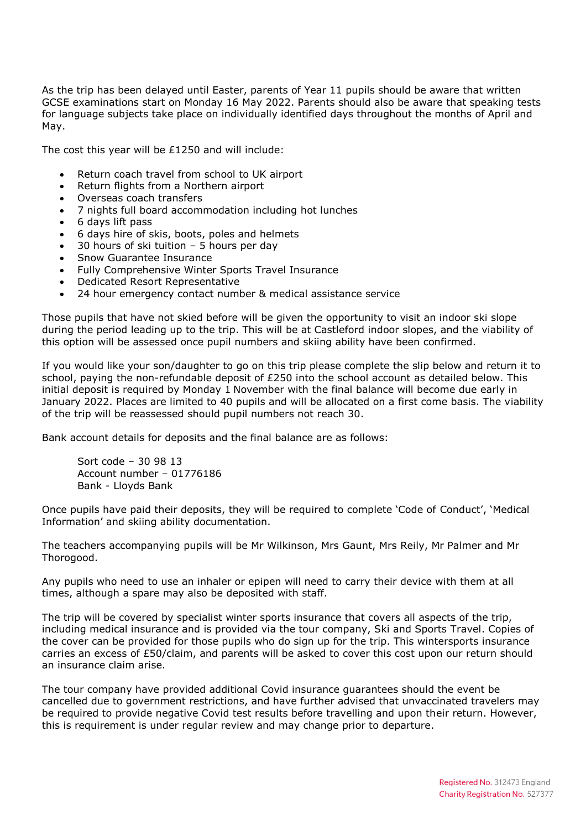As the trip has been delayed until Easter, parents of Year 11 pupils should be aware that written GCSE examinations start on Monday 16 May 2022. Parents should also be aware that speaking tests for language subjects take place on individually identified days throughout the months of April and May.

The cost this year will be £1250 and will include:

- Return coach travel from school to UK airport
- Return flights from a Northern airport
- Overseas coach transfers
- 7 nights full board accommodation including hot lunches
- 6 days lift pass
- 6 days hire of skis, boots, poles and helmets
- 30 hours of ski tuition 5 hours per day
- Snow Guarantee Insurance
- Fully Comprehensive Winter Sports Travel Insurance
- Dedicated Resort Representative
- 24 hour emergency contact number & medical assistance service

Those pupils that have not skied before will be given the opportunity to visit an indoor ski slope during the period leading up to the trip. This will be at Castleford indoor slopes, and the viability of this option will be assessed once pupil numbers and skiing ability have been confirmed.

If you would like your son/daughter to go on this trip please complete the slip below and return it to school, paying the non-refundable deposit of £250 into the school account as detailed below. This initial deposit is required by Monday 1 November with the final balance will become due early in January 2022. Places are limited to 40 pupils and will be allocated on a first come basis. The viability of the trip will be reassessed should pupil numbers not reach 30.

Bank account details for deposits and the final balance are as follows:

Sort code – 30 98 13 Account number – 01776186 Bank - Lloyds Bank

Once pupils have paid their deposits, they will be required to complete 'Code of Conduct', 'Medical Information' and skiing ability documentation.

The teachers accompanying pupils will be Mr Wilkinson, Mrs Gaunt, Mrs Reily, Mr Palmer and Mr Thorogood.

Any pupils who need to use an inhaler or epipen will need to carry their device with them at all times, although a spare may also be deposited with staff.

The trip will be covered by specialist winter sports insurance that covers all aspects of the trip, including medical insurance and is provided via the tour company, Ski and Sports Travel. Copies of the cover can be provided for those pupils who do sign up for the trip. This wintersports insurance carries an excess of £50/claim, and parents will be asked to cover this cost upon our return should an insurance claim arise.

The tour company have provided additional Covid insurance guarantees should the event be cancelled due to government restrictions, and have further advised that unvaccinated travelers may be required to provide negative Covid test results before travelling and upon their return. However, this is requirement is under regular review and may change prior to departure.